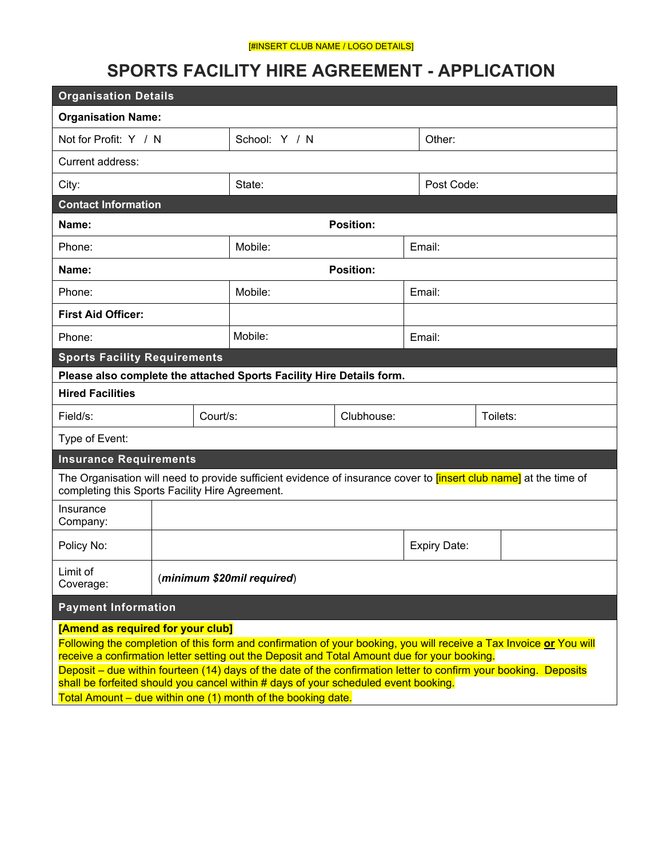#### [#INSERT CLUB NAME / LOGO DETAILS]

# **SPORTS FACILITY HIRE AGREEMENT - APPLICATION**

| <b>Organisation Details</b>                                                                                                                                                                                                                                                                                                                                                                                                                                                                                                        |                        |                  |        |          |  |
|------------------------------------------------------------------------------------------------------------------------------------------------------------------------------------------------------------------------------------------------------------------------------------------------------------------------------------------------------------------------------------------------------------------------------------------------------------------------------------------------------------------------------------|------------------------|------------------|--------|----------|--|
| <b>Organisation Name:</b>                                                                                                                                                                                                                                                                                                                                                                                                                                                                                                          |                        |                  |        |          |  |
| Not for Profit: Y / N                                                                                                                                                                                                                                                                                                                                                                                                                                                                                                              | School: Y / N          |                  | Other: |          |  |
| Current address:                                                                                                                                                                                                                                                                                                                                                                                                                                                                                                                   |                        |                  |        |          |  |
| City:                                                                                                                                                                                                                                                                                                                                                                                                                                                                                                                              | State:                 | Post Code:       |        |          |  |
| <b>Contact Information</b>                                                                                                                                                                                                                                                                                                                                                                                                                                                                                                         |                        |                  |        |          |  |
| Name:                                                                                                                                                                                                                                                                                                                                                                                                                                                                                                                              |                        | <b>Position:</b> |        |          |  |
| Phone:                                                                                                                                                                                                                                                                                                                                                                                                                                                                                                                             | Mobile:                | Email:           |        |          |  |
| Name:                                                                                                                                                                                                                                                                                                                                                                                                                                                                                                                              | <b>Position:</b>       |                  |        |          |  |
| Phone:                                                                                                                                                                                                                                                                                                                                                                                                                                                                                                                             | Mobile:<br>Email:      |                  |        |          |  |
| <b>First Aid Officer:</b>                                                                                                                                                                                                                                                                                                                                                                                                                                                                                                          |                        |                  |        |          |  |
| Phone:                                                                                                                                                                                                                                                                                                                                                                                                                                                                                                                             | Mobile:                |                  | Email: |          |  |
| <b>Sports Facility Requirements</b>                                                                                                                                                                                                                                                                                                                                                                                                                                                                                                |                        |                  |        |          |  |
| Please also complete the attached Sports Facility Hire Details form.                                                                                                                                                                                                                                                                                                                                                                                                                                                               |                        |                  |        |          |  |
| <b>Hired Facilities</b>                                                                                                                                                                                                                                                                                                                                                                                                                                                                                                            |                        |                  |        |          |  |
| Field/s:                                                                                                                                                                                                                                                                                                                                                                                                                                                                                                                           | Court/s:<br>Clubhouse: |                  |        | Toilets: |  |
| Type of Event:                                                                                                                                                                                                                                                                                                                                                                                                                                                                                                                     |                        |                  |        |          |  |
| <b>Insurance Requirements</b>                                                                                                                                                                                                                                                                                                                                                                                                                                                                                                      |                        |                  |        |          |  |
| The Organisation will need to provide sufficient evidence of insurance cover to <i>[insert club name]</i> at the time of<br>completing this Sports Facility Hire Agreement.                                                                                                                                                                                                                                                                                                                                                        |                        |                  |        |          |  |
| Insurance<br>Company:                                                                                                                                                                                                                                                                                                                                                                                                                                                                                                              |                        |                  |        |          |  |
| Policy No:                                                                                                                                                                                                                                                                                                                                                                                                                                                                                                                         | Expiry Date:           |                  |        |          |  |
| Limit of<br>(minimum \$20mil required)<br>Coverage:                                                                                                                                                                                                                                                                                                                                                                                                                                                                                |                        |                  |        |          |  |
| <b>Payment Information</b>                                                                                                                                                                                                                                                                                                                                                                                                                                                                                                         |                        |                  |        |          |  |
| [Amend as required for your club]<br>Following the completion of this form and confirmation of your booking, you will receive a Tax Invoice or You will<br>receive a confirmation letter setting out the Deposit and Total Amount due for your booking.<br>Deposit – due within fourteen (14) days of the date of the confirmation letter to confirm your booking. Deposits<br>shall be forfeited should you cancel within # days of your scheduled event booking.<br>Total Amount – due within one (1) month of the booking date. |                        |                  |        |          |  |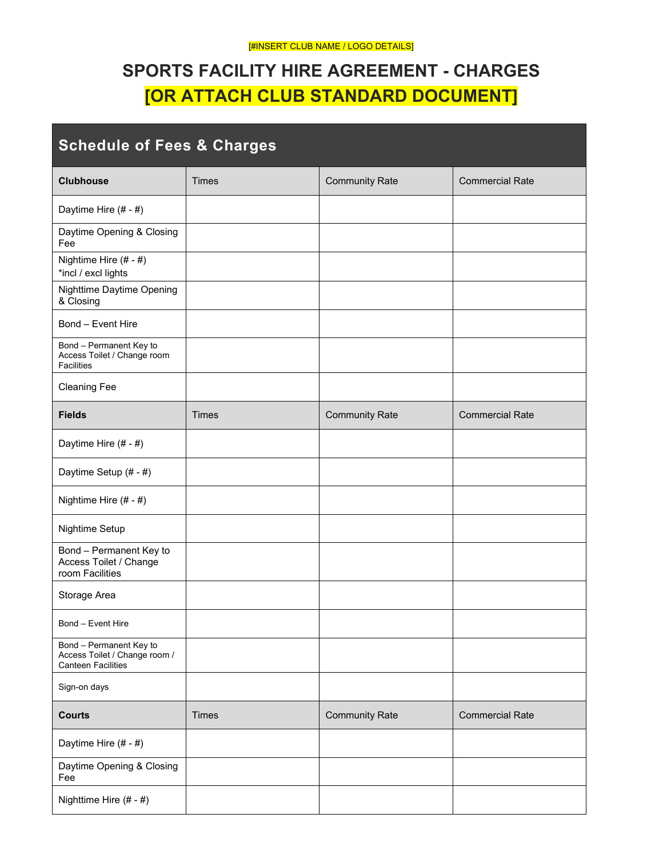# **SPORTS FACILITY HIRE AGREEMENT - CHARGES [OR ATTACH CLUB STANDARD DOCUMENT]**

| <b>Schedule of Fees &amp; Charges</b>                                                 |              |                       |                        |  |
|---------------------------------------------------------------------------------------|--------------|-----------------------|------------------------|--|
| <b>Clubhouse</b>                                                                      | <b>Times</b> | <b>Community Rate</b> | <b>Commercial Rate</b> |  |
| Daytime Hire (# - #)                                                                  |              |                       |                        |  |
| Daytime Opening & Closing<br>Fee                                                      |              |                       |                        |  |
| Nightime Hire (# - #)<br>*incl / excl lights                                          |              |                       |                        |  |
| Nighttime Daytime Opening<br>& Closing                                                |              |                       |                        |  |
| Bond - Event Hire                                                                     |              |                       |                        |  |
| Bond - Permanent Key to<br>Access Toilet / Change room<br><b>Facilities</b>           |              |                       |                        |  |
| <b>Cleaning Fee</b>                                                                   |              |                       |                        |  |
| <b>Fields</b>                                                                         | <b>Times</b> | <b>Community Rate</b> | <b>Commercial Rate</b> |  |
| Daytime Hire (# - #)                                                                  |              |                       |                        |  |
| Daytime Setup (# - #)                                                                 |              |                       |                        |  |
| Nightime Hire (# - #)                                                                 |              |                       |                        |  |
| Nightime Setup                                                                        |              |                       |                        |  |
| Bond - Permanent Key to<br>Access Toilet / Change<br>room Facilities                  |              |                       |                        |  |
| Storage Area                                                                          |              |                       |                        |  |
| Bond - Event Hire                                                                     |              |                       |                        |  |
| Bond - Permanent Key to<br>Access Toilet / Change room /<br><b>Canteen Facilities</b> |              |                       |                        |  |
| Sign-on days                                                                          |              |                       |                        |  |
| <b>Courts</b>                                                                         | <b>Times</b> | <b>Community Rate</b> | <b>Commercial Rate</b> |  |
| Daytime Hire (# - #)                                                                  |              |                       |                        |  |
| Daytime Opening & Closing<br>Fee                                                      |              |                       |                        |  |
| Nighttime Hire (# - #)                                                                |              |                       |                        |  |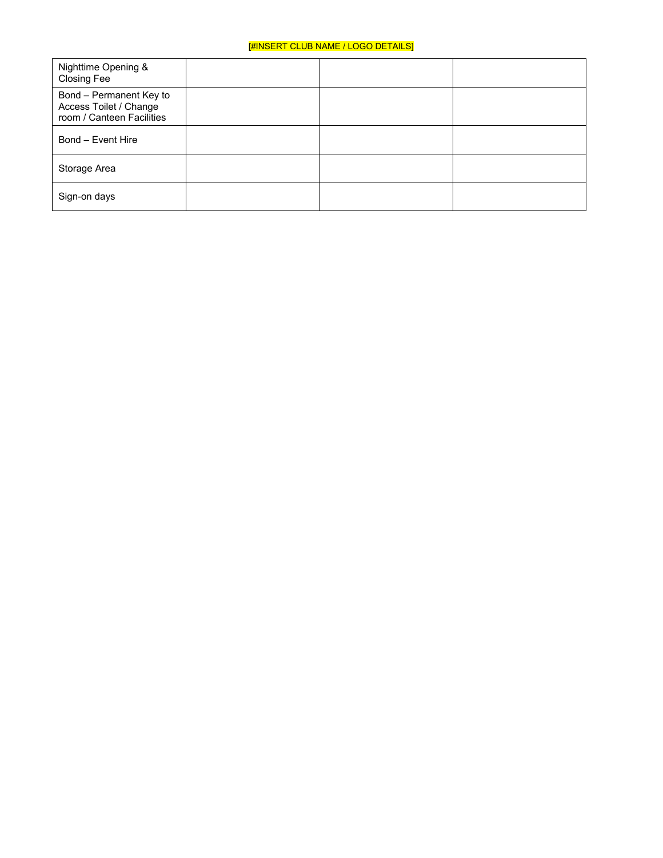| Nighttime Opening &<br>Closing Fee                                             |  |  |
|--------------------------------------------------------------------------------|--|--|
| Bond - Permanent Key to<br>Access Toilet / Change<br>room / Canteen Facilities |  |  |
| Bond - Event Hire                                                              |  |  |
| Storage Area                                                                   |  |  |
| Sign-on days                                                                   |  |  |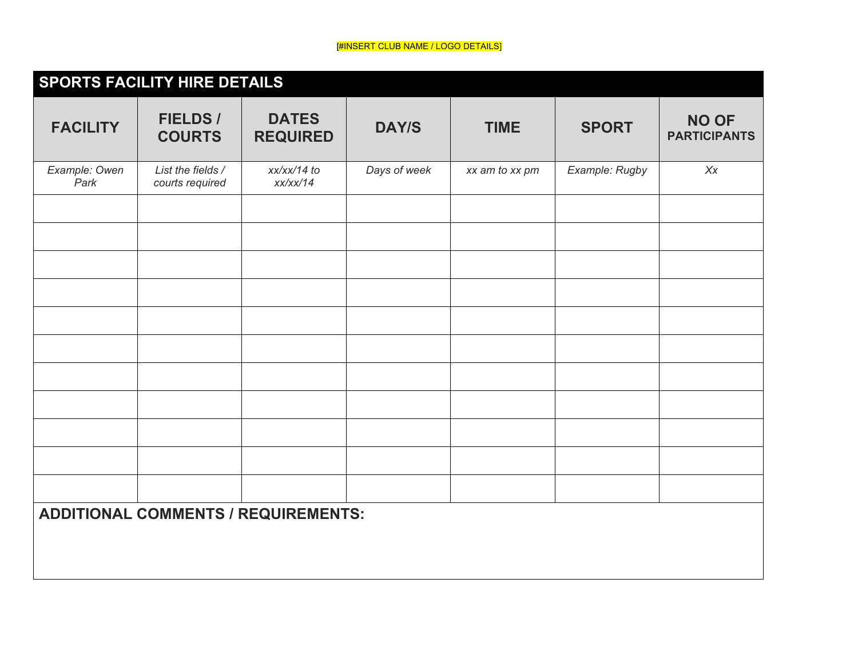# [#INSERT CLUB NAME / LOGO DETAILS]

|                       | <b>SPORTS FACILITY HIRE DETAILS</b>  |                                            |              |                |                |                                     |
|-----------------------|--------------------------------------|--------------------------------------------|--------------|----------------|----------------|-------------------------------------|
| <b>FACILITY</b>       | <b>FIELDS/</b><br><b>COURTS</b>      | <b>DATES</b><br><b>REQUIRED</b>            | <b>DAY/S</b> | <b>TIME</b>    | <b>SPORT</b>   | <b>NO OF</b><br><b>PARTICIPANTS</b> |
| Example: Owen<br>Park | List the fields /<br>courts required | xx/xx/14 to<br>xx/xx/14                    | Days of week | xx am to xx pm | Example: Rugby | X                                   |
|                       |                                      |                                            |              |                |                |                                     |
|                       |                                      |                                            |              |                |                |                                     |
|                       |                                      |                                            |              |                |                |                                     |
|                       |                                      |                                            |              |                |                |                                     |
|                       |                                      |                                            |              |                |                |                                     |
|                       |                                      |                                            |              |                |                |                                     |
|                       |                                      |                                            |              |                |                |                                     |
|                       |                                      |                                            |              |                |                |                                     |
|                       |                                      | <b>ADDITIONAL COMMENTS / REQUIREMENTS:</b> |              |                |                |                                     |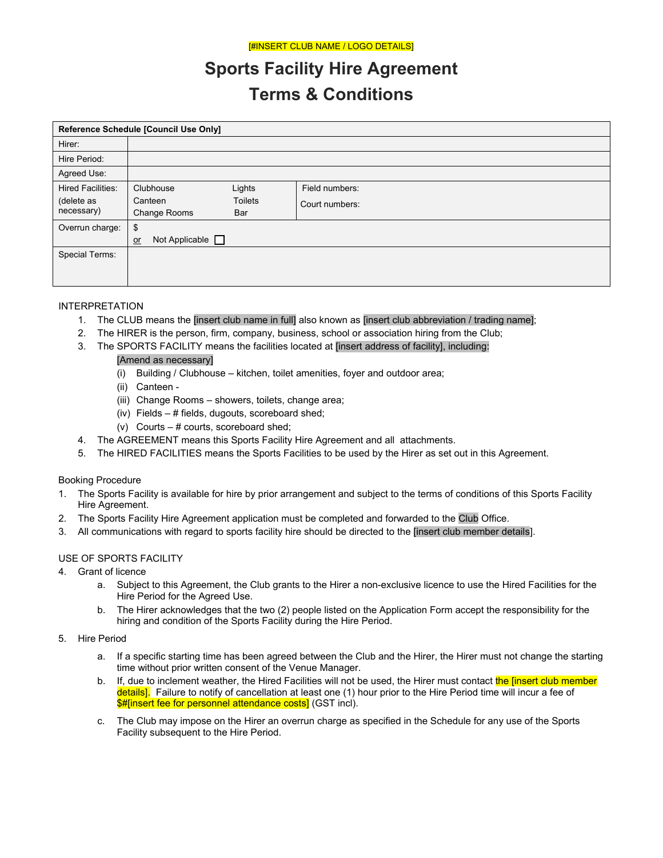# **Sports Facility Hire Agreement Terms & Conditions**

| Reference Schedule [Council Use Only] |                               |                |                |
|---------------------------------------|-------------------------------|----------------|----------------|
| Hirer:                                |                               |                |                |
| Hire Period:                          |                               |                |                |
| Agreed Use:                           |                               |                |                |
| <b>Hired Facilities:</b>              | Clubhouse                     | Lights         | Field numbers: |
| (delete as                            | Canteen                       | <b>Toilets</b> | Court numbers: |
| necessary)                            | Change Rooms                  | Bar            |                |
| Overrun charge:                       | \$                            |                |                |
|                                       | Not Applicable $\Box$<br>$or$ |                |                |
| Special Terms:                        |                               |                |                |
|                                       |                               |                |                |
|                                       |                               |                |                |

## INTERPRETATION

- 1. The CLUB means the [insert club name in full] also known as [insert club abbreviation / trading name];
- 2. The HIRER is the person, firm, company, business, school or association hiring from the Club;
- 3. The SPORTS FACILITY means the facilities located at [insert address of facility], including:

## [Amend as necessary]

- (i) Building / Clubhouse kitchen, toilet amenities, foyer and outdoor area;
- (ii) Canteen -
- (iii) Change Rooms showers, toilets, change area;
- (iv) Fields # fields, dugouts, scoreboard shed;
- (v) Courts # courts, scoreboard shed;
- 4. The AGREEMENT means this Sports Facility Hire Agreement and all attachments.
- 5. The HIRED FACILITIES means the Sports Facilities to be used by the Hirer as set out in this Agreement.

## Booking Procedure

- 1. The Sports Facility is available for hire by prior arrangement and subject to the terms of conditions of this Sports Facility Hire Agreement.
- 2. The Sports Facility Hire Agreement application must be completed and forwarded to the Club Office.
- 3. All communications with regard to sports facility hire should be directed to the [insert club member details].

## USE OF SPORTS FACILITY

- 4. Grant of licence
	- Hire Period for the Agreed Use. a. Subject to this Agreement, the Club grants to the Hirer a non-exclusive licence to use the Hired Facilities for the
	- hiring and condition of the Sports Facility during the Hire Period. b. The Hirer acknowledges that the two (2) people listed on the Application Form accept the responsibility for the
- 5. Hire Period
	- time without prior written consent of the Venue Manager. a. If a specific starting time has been agreed between the Club and the Hirer, the Hirer must not change the starting
	- <mark>details].</mark> Failure to notify of cancellation at least one (1) hour prior to the Hire Period time will incur a fee of b. If, due to inclement weather, the Hired Facilities will not be used, the Hirer must contact the linsert club member \$#[insert fee for personnel attendance costs] (GST incl).
	- c. The Club may impose on the Hirer an overrun charge as specified in the Schedule for any use of the Sports Facility subsequent to the Hire Period.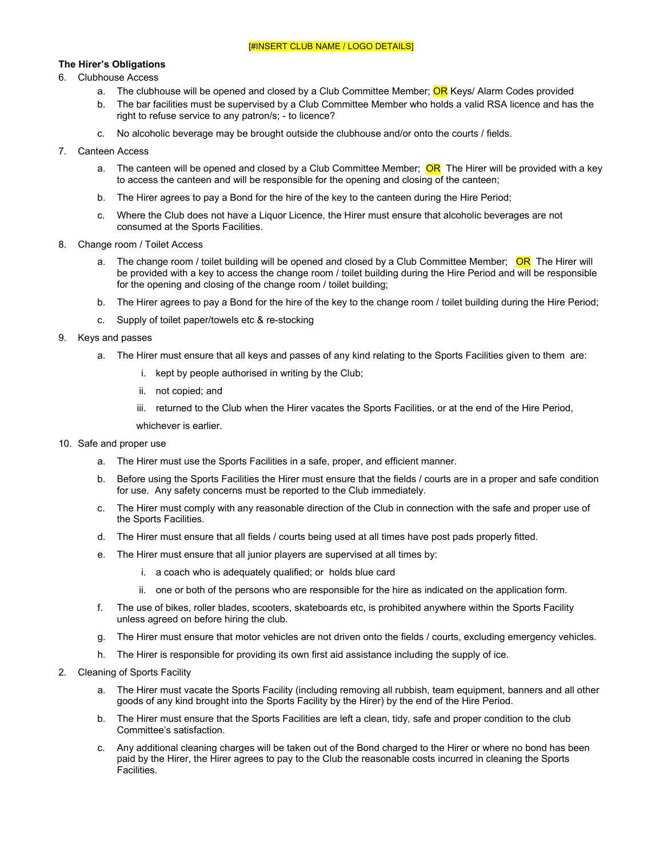### **The Hirer's Obligations**

## 6. Clubhouse Access

- a. The clubhouse will be opened and closed by a Club Committee Member; OR Keys/ Alarm Codes provided
- b. The bar facilities must be supervised by a Club Committee Member who holds a valid RSA licence and has the right to refuse service to any patron/s; - to licence?
- c. No alcoholic beverage may be brought outside the clubhouse and/or onto the courts / fields.

#### 7. Canteen Access

- a. The canteen will be opened and closed by a Club Committee Member; <mark>OR</mark> The Hirer will be provided with a key to access the canteen and will be responsible for the opening and closing of the canteen;
- b. The Hirer agrees to pay a Bond for the hire of the key to the canteen during the Hire Period;
- c. Where the Club does not have a Liquor Licence, the Hirer must ensure that alcoholic beverages are not consumed at the Sports Facilities.
- 8. Change room / Toilet Access
	- a. The change room / toilet building will be opened and closed by a Club Committee Member; <mark>OR</mark> The Hirer will be provided with a key to access the change room / toilet building during the Hire Period and will be responsible for the opening and closing of the change room / toilet building;
	- b. The Hirer agrees to pay a Bond for the hire of the key to the change room / toilet building during the Hire Period;
	- c. Supply of toilet paper/towels etc & re-stocking
- 9. Keys and passes
	- a. The Hirer must ensure that all keys and passes of any kind relating to the Sports Facilities given to them are:
		- i. kept by people authorised in writing by the Club;
		- ii. not copied; and
		- iii. returned to the Club when the Hirer vacates the Sports Facilities, or at the end of the Hire Period,
		- whichever is earlier.
- 
- 10. Safe and proper use<br>a. The Hirer must use the Sports Facilities in a safe, proper, and efficient manner.
	- b. Before using the Sports Facilities the Hirer must ensure that the fields / courts are in a proper and safe condition for use. Any safety concerns must be reported to the Club immediately.
	- c. The Hirer must comply with any reasonable direction of the Club in connection with the safe and proper use of the Sports Facilities.
	- d. The Hirer must ensure that all fields / courts being used at all times have post pads properly fitted.
	- e. The Hirer must ensure that all junior players are supervised at all times by:
		- i. a coach who is adequately qualified; or holds blue card
		- ii. one or both of the persons who are responsible for the hire as indicated on the application form.
	- f. unless agreed on before hiring the club. The use of bikes, roller blades, scooters, skateboards etc, is prohibited anywhere within the Sports Facility
	- g. The Hirer must ensure that motor vehicles are not driven onto the fields / courts, excluding emergency vehicles.<br>h. The Hirer is responsible for providing its own first aid assistance including the supply of ice.
	- h. The Hirer is responsible for providing its own first aid assistance including the supply of ice.
- 2. Cleaning of Sports Facility
	- a. The Hirer must vacate the Sports Facility (including removing all rubbish, team equipment, banners and all other goods of any kind brought into the Sports Facility by the Hirer) by the end of the Hire Period.
	- b. The Hirer must ensure that the Sports Facilities are left a clean, tidy, safe and proper condition to the club Committee's satisfaction.
	- Facilities. c. Any additional cleaning charges will be taken out of the Bond charged to the Hirer or where no bond has been paid by the Hirer, the Hirer agrees to pay to the Club the reasonable costs incurred in cleaning the Sports